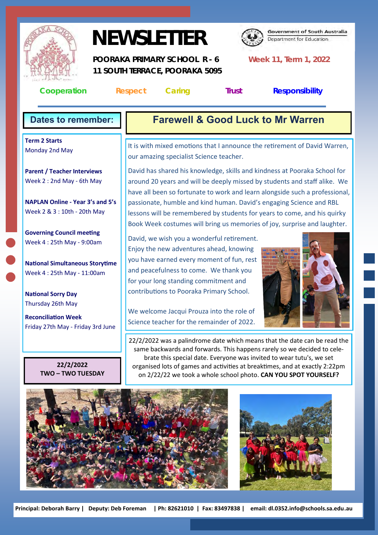

# **NEWSLETTER**



**Government of South Australia** Department for Education

 **POORAKA PRIMARY SCHOOL R - 6 Week 11, Term 1, 2022 11 SOUTH TERRACE, POORAKA 5095** 

**Cooperation Respect Caring Trust Responsibility**

**Term 2 Starts** Monday 2nd May

**Parent / Teacher Interviews** Week 2 : 2nd May - 6th May

**NAPLAN Online - Year 3's and 5's** Week 2 & 3 : 10th - 20th May

**Governing Council meeting** Week 4 : 25th May - 9:00am

**National Simultaneous Storytime** Week 4 : 25th May - 11:00am

**National Sorry Day** Thursday 26th May

**Reconciliation Week** Friday 27th May - Friday 3rd June

> **22/2/2022 TWO – TWO TUESDAY**

# **Dates to remember: Farewell & Good Luck to Mr Warren**

It is with mixed emotions that I announce the retirement of David Warren, our amazing specialist Science teacher.

David has shared his knowledge, skills and kindness at Pooraka School for around 20 years and will be deeply missed by students and staff alike. We have all been so fortunate to work and learn alongside such a professional, passionate, humble and kind human. David's engaging Science and RBL lessons will be remembered by students for years to come, and his quirky Book Week costumes will bring us memories of joy, surprise and laughter.

David, we wish you a wonderful retirement. Enjoy the new adventures ahead, knowing you have earned every moment of fun, rest and peacefulness to come. We thank you for your long standing commitment and contributions to Pooraka Primary School.

We welcome Jacqui Prouza into the role of Science teacher for the remainder of 2022.



22/2/2022 was a palindrome date which means that the date can be read the same backwards and forwards. This happens rarely so we decided to celebrate this special date. Everyone was invited to wear tutu's, we set organised lots of games and activities at breaktimes, and at exactly 2:22pm on 2/22/22 we took a whole school photo. **CAN YOU SPOT YOURSELF?**